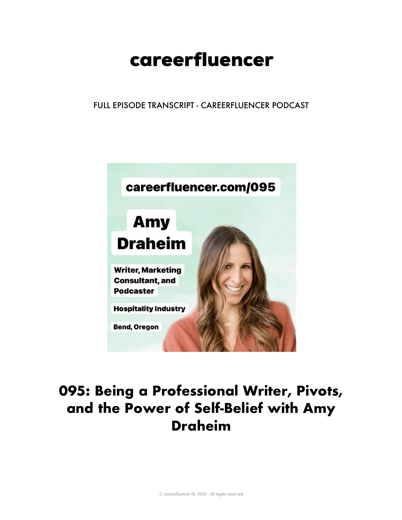# careerfluencer

FULL EPISODE TRANSCRIPT - CAREERFLUENCER PODCAST



# **095: Being a Professional Writer, Pivots, and the Power of Self-Belief with Amy Draheim**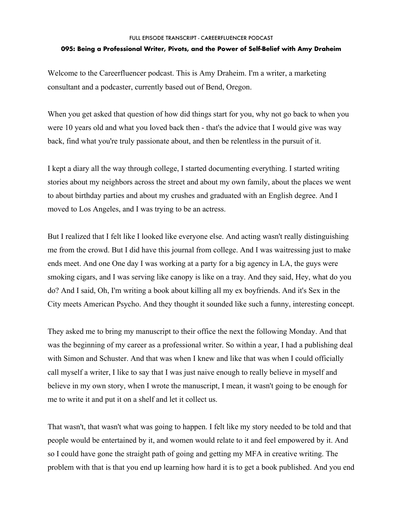#### **095: Being a Professional Writer, Pivots, and the Power of Self-Belief with Amy Draheim**

Welcome to the Careerfluencer podcast. This is Amy Draheim. I'm a writer, a marketing consultant and a podcaster, currently based out of Bend, Oregon.

When you get asked that question of how did things start for you, why not go back to when you were 10 years old and what you loved back then - that's the advice that I would give was way back, find what you're truly passionate about, and then be relentless in the pursuit of it.

I kept a diary all the way through college, I started documenting everything. I started writing stories about my neighbors across the street and about my own family, about the places we went to about birthday parties and about my crushes and graduated with an English degree. And I moved to Los Angeles, and I was trying to be an actress.

But I realized that I felt like I looked like everyone else. And acting wasn't really distinguishing me from the crowd. But I did have this journal from college. And I was waitressing just to make ends meet. And one One day I was working at a party for a big agency in LA, the guys were smoking cigars, and I was serving like canopy is like on a tray. And they said, Hey, what do you do? And I said, Oh, I'm writing a book about killing all my ex boyfriends. And it's Sex in the City meets American Psycho. And they thought it sounded like such a funny, interesting concept.

They asked me to bring my manuscript to their office the next the following Monday. And that was the beginning of my career as a professional writer. So within a year, I had a publishing deal with Simon and Schuster. And that was when I knew and like that was when I could officially call myself a writer, I like to say that I was just naive enough to really believe in myself and believe in my own story, when I wrote the manuscript, I mean, it wasn't going to be enough for me to write it and put it on a shelf and let it collect us.

That wasn't, that wasn't what was going to happen. I felt like my story needed to be told and that people would be entertained by it, and women would relate to it and feel empowered by it. And so I could have gone the straight path of going and getting my MFA in creative writing. The problem with that is that you end up learning how hard it is to get a book published. And you end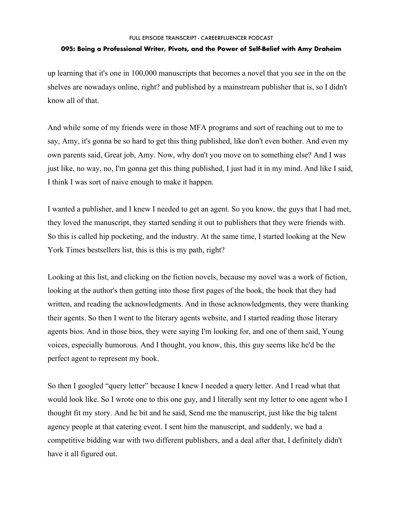#### **095: Being a Professional Writer, Pivots, and the Power of Self-Belief with Amy Draheim**

up learning that it's one in 100,000 manuscripts that becomes a novel that you see in the on the shelves are nowadays online, right? and published by a mainstream publisher that is, so I didn't know all of that.

And while some of my friends were in those MFA programs and sort of reaching out to me to say, Amy, it's gonna be so hard to get this thing published, like don't even bother. And even my own parents said, Great job, Amy. Now, why don't you move on to something else? And I was just like, no way, no, I'm gonna get this thing published, I just had it in my mind. And like I said, I think I was sort of naive enough to make it happen.

I wanted a publisher, and I knew I needed to get an agent. So you know, the guys that I had met, they loved the manuscript, they started sending it out to publishers that they were friends with. So this is called hip pocketing, and the industry. At the same time, I started looking at the New York Times bestsellers list, this is this is my path, right?

Looking at this list, and clicking on the fiction novels, because my novel was a work of fiction, looking at the author's then getting into those first pages of the book, the book that they had written, and reading the acknowledgments. And in those acknowledgments, they were thanking their agents. So then I went to the literary agents website, and I started reading those literary agents bios. And in those bios, they were saying I'm looking for, and one of them said, Young voices, especially humorous. And I thought, you know, this, this guy seems like he'd be the perfect agent to represent my book.

So then I googled "query letter" because I knew I needed a query letter. And I read what that would look like. So I wrote one to this one guy, and I literally sent my letter to one agent who I thought fit my story. And he bit and he said, Send me the manuscript, just like the big talent agency people at that catering event. I sent him the manuscript, and suddenly, we had a competitive bidding war with two different publishers, and a deal after that, I definitely didn't have it all figured out.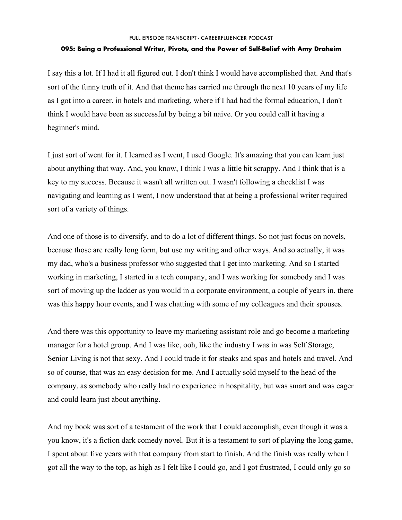#### **095: Being a Professional Writer, Pivots, and the Power of Self-Belief with Amy Draheim**

I say this a lot. If I had it all figured out. I don't think I would have accomplished that. And that's sort of the funny truth of it. And that theme has carried me through the next 10 years of my life as I got into a career. in hotels and marketing, where if I had had the formal education, I don't think I would have been as successful by being a bit naive. Or you could call it having a beginner's mind.

I just sort of went for it. I learned as I went, I used Google. It's amazing that you can learn just about anything that way. And, you know, I think I was a little bit scrappy. And I think that is a key to my success. Because it wasn't all written out. I wasn't following a checklist I was navigating and learning as I went, I now understood that at being a professional writer required sort of a variety of things.

And one of those is to diversify, and to do a lot of different things. So not just focus on novels, because those are really long form, but use my writing and other ways. And so actually, it was my dad, who's a business professor who suggested that I get into marketing. And so I started working in marketing, I started in a tech company, and I was working for somebody and I was sort of moving up the ladder as you would in a corporate environment, a couple of years in, there was this happy hour events, and I was chatting with some of my colleagues and their spouses.

And there was this opportunity to leave my marketing assistant role and go become a marketing manager for a hotel group. And I was like, ooh, like the industry I was in was Self Storage, Senior Living is not that sexy. And I could trade it for steaks and spas and hotels and travel. And so of course, that was an easy decision for me. And I actually sold myself to the head of the company, as somebody who really had no experience in hospitality, but was smart and was eager and could learn just about anything.

And my book was sort of a testament of the work that I could accomplish, even though it was a you know, it's a fiction dark comedy novel. But it is a testament to sort of playing the long game, I spent about five years with that company from start to finish. And the finish was really when I got all the way to the top, as high as I felt like I could go, and I got frustrated, I could only go so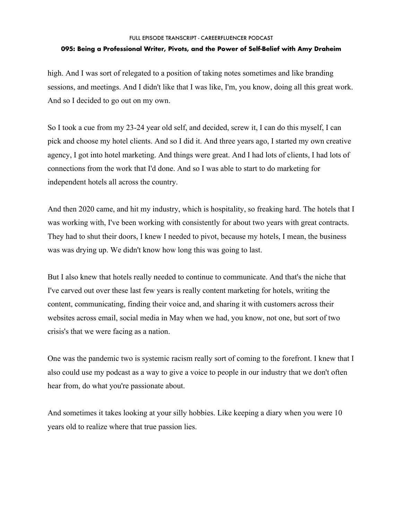## **095: Being a Professional Writer, Pivots, and the Power of Self-Belief with Amy Draheim**

high. And I was sort of relegated to a position of taking notes sometimes and like branding sessions, and meetings. And I didn't like that I was like, I'm, you know, doing all this great work. And so I decided to go out on my own.

So I took a cue from my 23-24 year old self, and decided, screw it, I can do this myself, I can pick and choose my hotel clients. And so I did it. And three years ago, I started my own creative agency, I got into hotel marketing. And things were great. And I had lots of clients, I had lots of connections from the work that I'd done. And so I was able to start to do marketing for independent hotels all across the country.

And then 2020 came, and hit my industry, which is hospitality, so freaking hard. The hotels that I was working with, I've been working with consistently for about two years with great contracts. They had to shut their doors, I knew I needed to pivot, because my hotels, I mean, the business was was drying up. We didn't know how long this was going to last.

But I also knew that hotels really needed to continue to communicate. And that's the niche that I've carved out over these last few years is really content marketing for hotels, writing the content, communicating, finding their voice and, and sharing it with customers across their websites across email, social media in May when we had, you know, not one, but sort of two crisis's that we were facing as a nation.

One was the pandemic two is systemic racism really sort of coming to the forefront. I knew that I also could use my podcast as a way to give a voice to people in our industry that we don't often hear from, do what you're passionate about.

And sometimes it takes looking at your silly hobbies. Like keeping a diary when you were 10 years old to realize where that true passion lies.